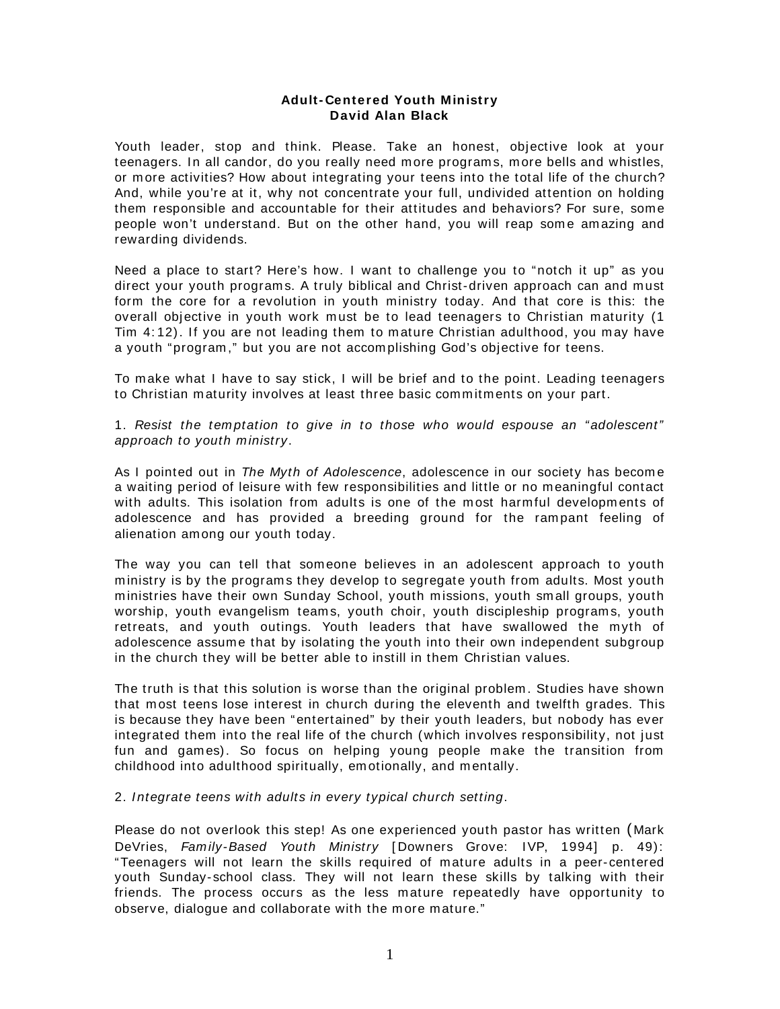## **Adult- Centered Youth Ministry David Alan Black**

Youth leader, stop and think. Please. Take an honest, objective look at your teenagers. In all candor, do you really need m ore program s, m ore bells and whistles, or m ore activities? How about integrating your teens into the total life of the church? And, while you're at it, why not concentrate your full, undivided attention on holding them responsible and accountable for their attitudes and behaviors? For sure, som e people won't understand. But on the other hand, you will reap some amazing and rewarding dividends.

Need a place to start? Here's how. I want to challenge you to "notch it up" as you direct your youth programs. A truly biblical and Christ-driven approach can and must form the core for a revolution in youth ministry today. And that core is this: the overall objective in youth work must be to lead teenagers to Christian maturity (1) Tim 4: 12). If you are not leading them to m ature Christian adulthood, you m ay have a youth "program ," but you are not accom plishing God's objective for teens.

To m ake what I have to say stick, I will be brief and to the point. Leading teenagers to Christian maturity involves at least three basic commitments on your part.

1. Resist the temptation to give in to those who would espouse an "adolescent" approach to youth ministry.

As I pointed out in The Myth of Adolescence, adolescence in our society has become a waiting period of leisure with few responsibilities and little or no m eaningful contact with adults. This isolation from adults is one of the most harmful developments of adolescence and has provided a breeding ground for the rampant feeling of alienation am ong our youth today.

The way you can tell that someone believes in an adolescent approach to youth m inistry is by the program s they develop to segregate youth from adults. Most youth m inistries have their own Sunday School, youth m issions, youth sm all groups, youth worship, youth evangelism teams, youth choir, youth discipleship programs, youth retreats, and youth outings. Youth leaders that have swallowed the myth of adolescence assum e that by isolating the youth into their own independent subgroup in the church they will be better able to instill in them Christian values.

The truth is that this solution is worse than the original problem . Studies have shown that m ost teens lose interest in church during the eleventh and twelfth grades. This is because they have been "entertained" by their youth leaders, but nobody has ever integrated them into the real life of the church (which involves responsibility, not just fun and games). So focus on helping young people make the transition from childhood into adulthood spiritually, em otionally, and m entally.

2. Integrate teens with adults in every typical church setting.

Please do not overlook this step! As one experienced youth pastor has written ( Mark DeVries, Family-Based Youth Ministry [Downers Grove: IVP, 1994] p. 49): "Teenagers will not learn the skills required of m ature adults in a peer-centered youth Sunday-school class. They will not learn these skills by talking with their friends. The process occurs as the less m ature repeatedly have opportunity to observe, dialogue and collaborate with the more mature."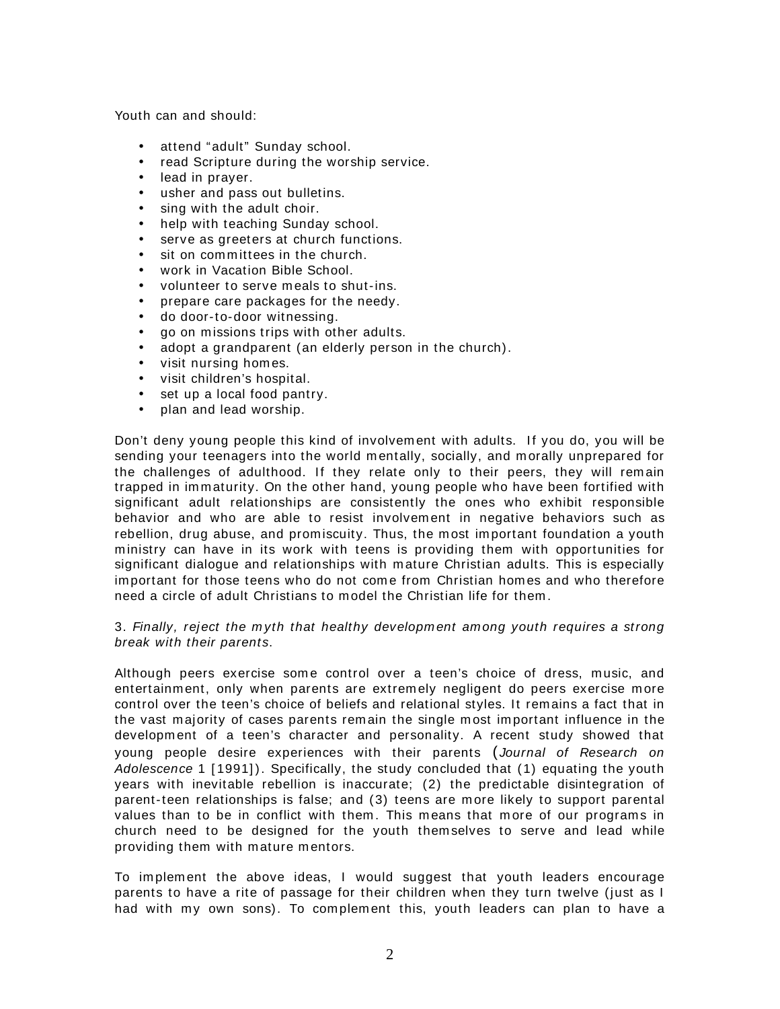Youth can and should:

- attend "adult" Sunday school.
- read Scripture during the worship service.
- lead in prayer.
- usher and pass out bulletins.
- sing with the adult choir.
- help with teaching Sunday school.
- serve as greeters at church functions.
- sit on committees in the church.
- work in Vacation Bible School.
- volunteer to serve m eals to shut-ins.
- prepare care packages for the needy.
- do door-to-door witnessing.
- go on missions trips with other adults.
- adopt a grandparent (an elderly person in the church).
- visit nursing hom es.
- visit children's hospital.
- set up a local food pantry.
- plan and lead worship.

Don't deny young people this kind of involvement with adults. If you do, you will be sending your teenagers into the world mentally, socially, and morally unprepared for the challenges of adulthood. If they relate only to their peers, they will remain trapped in im m aturity. On the other hand, young people who have been fortified with significant adult relationships are consistently the ones who exhibit responsible behavior and who are able to resist involvem ent in negative behaviors such as rebellion, drug abuse, and promiscuity. Thus, the most important foundation a youth m inistry can have in its work with teens is providing them with opportunities for significant dialogue and relationships with m ature Christian adults. This is especially important for those teens who do not come from Christian homes and who therefore need a circle of adult Christians to m odel the Christian life for them .

## 3. Finally, reject the m yth that healthy developm ent am ong youth requires a strong break with their parents.

Although peers exercise some control over a teen's choice of dress, music, and entertainm ent, only when parents are extrem ely negligent do peers exercise m ore control over the teen's choice of beliefs and relational styles. It rem ains a fact that in the vast majority of cases parents remain the single most important influence in the developm ent of a teen's character and personality. A recent study showed that young people desire experiences with their parents (Journal of Research on Adolescence 1 [ 1991] ). Specifically, the study concluded that (1) equating the youth years with inevitable rebellion is inaccurate; (2) the predictable disintegration of parent-teen relationships is false; and (3) teens are m ore likely to support parental values than to be in conflict with them. This means that more of our programs in church need to be designed for the youth them selves to serve and lead while providing them with m ature m entors.

To im plem ent the above ideas, I would suggest that youth leaders encourage parents to have a rite of passage for their children when they turn twelve (just as I had with my own sons). To complement this, youth leaders can plan to have a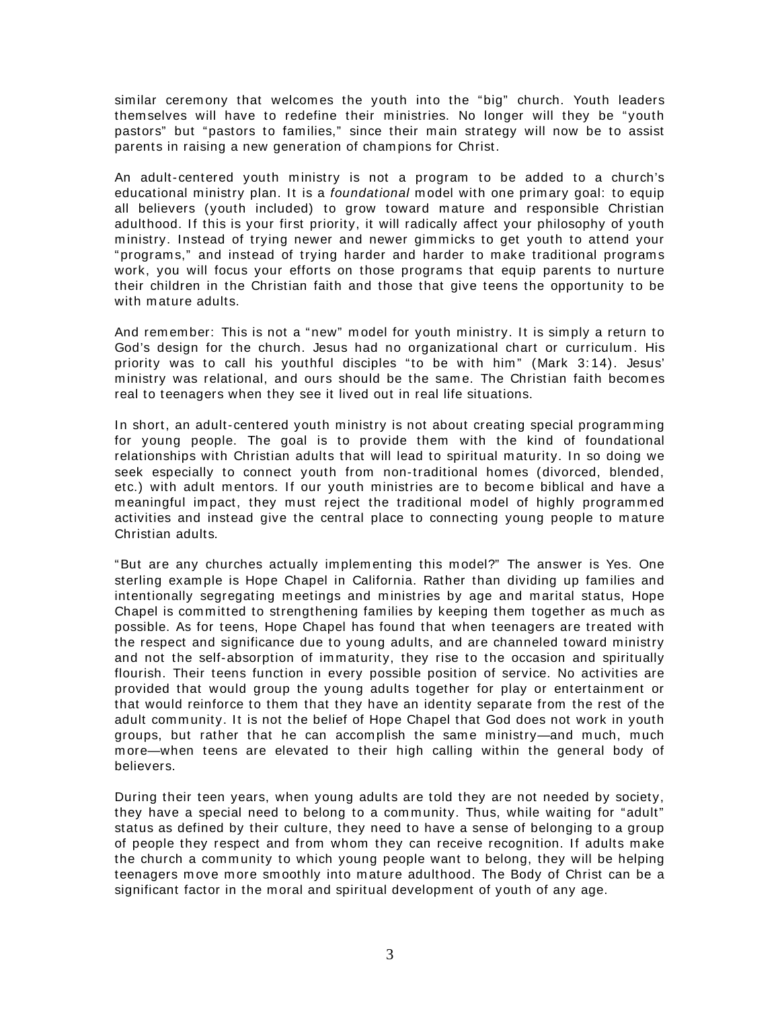similar cerem ony that welcom es the youth into the "big" church. Youth leaders them selves will have to redefine their ministries. No longer will they be "youth pastors" but "pastors to fam ilies," since their m ain strategy will now be to assist parents in raising a new generation of cham pions for Christ.

An adult-centered youth ministry is not a program to be added to a church's educational ministry plan. It is a foundational model with one primary goal: to equip all believers (youth included) to grow toward m ature and responsible Christian adulthood. If this is your first priority, it will radically affect your philosophy of youth m inistry. Instead of trying newer and newer gim micks to get youth to attend your "programs," and instead of trying harder and harder to make traditional programs work, you will focus your efforts on those programs that equip parents to nurture their children in the Christian faith and those that give teens the opportunity to be with m ature adults.

And remember: This is not a "new" model for youth ministry. It is simply a return to God's design for the church. Jesus had no organizational chart or curriculum . His priority was to call his youthful disciples "to be with him" (Mark 3:14). Jesus' ministry was relational, and ours should be the same. The Christian faith becomes real to teenagers when they see it lived out in real life situations.

In short, an adult-centered youth ministry is not about creating special programming for young people. The goal is to provide them with the kind of foundational relationships with Christian adults that will lead to spiritual maturity. In so doing we seek especially to connect youth from non-traditional homes (divorced, blended, etc.) with adult mentors. If our youth ministries are to become biblical and have a meaningful impact, they must reject the traditional model of highly programmed activities and instead give the central place to connecting young people to mature Christian adults.

"But are any churches actually im plem enting this m odel?" The answer is Yes. One sterling example is Hope Chapel in California. Rather than dividing up families and intentionally segregating m eetings and m inistries by age and m arital status, Hope Chapel is committed to strengthening families by keeping them together as much as possible. As for teens, Hope Chapel has found that when teenagers are treated with the respect and significance due to young adults, and are channeled toward m inistry and not the self-absorption of immaturity, they rise to the occasion and spiritually flourish. Their teens function in every possible position of service. No activities are provided that would group the young adults together for play or entertainm ent or that would reinforce to them that they have an identity separate from the rest of the adult community. It is not the belief of Hope Chapel that God does not work in youth groups, but rather that he can accomplish the same ministry—and much, much m ore—when teens are elevated to their high calling within the general body of believers.

During their teen years, when young adults are told they are not needed by society, they have a special need to belong to a community. Thus, while waiting for "adult" status as defined by their culture, they need to have a sense of belonging to a group of people they respect and from whom they can receive recognition. If adults m ake the church a community to which young people want to belong, they will be helping teenagers m ove m ore sm oothly into m ature adulthood. The Body of Christ can be a significant factor in the moral and spiritual development of youth of any age.